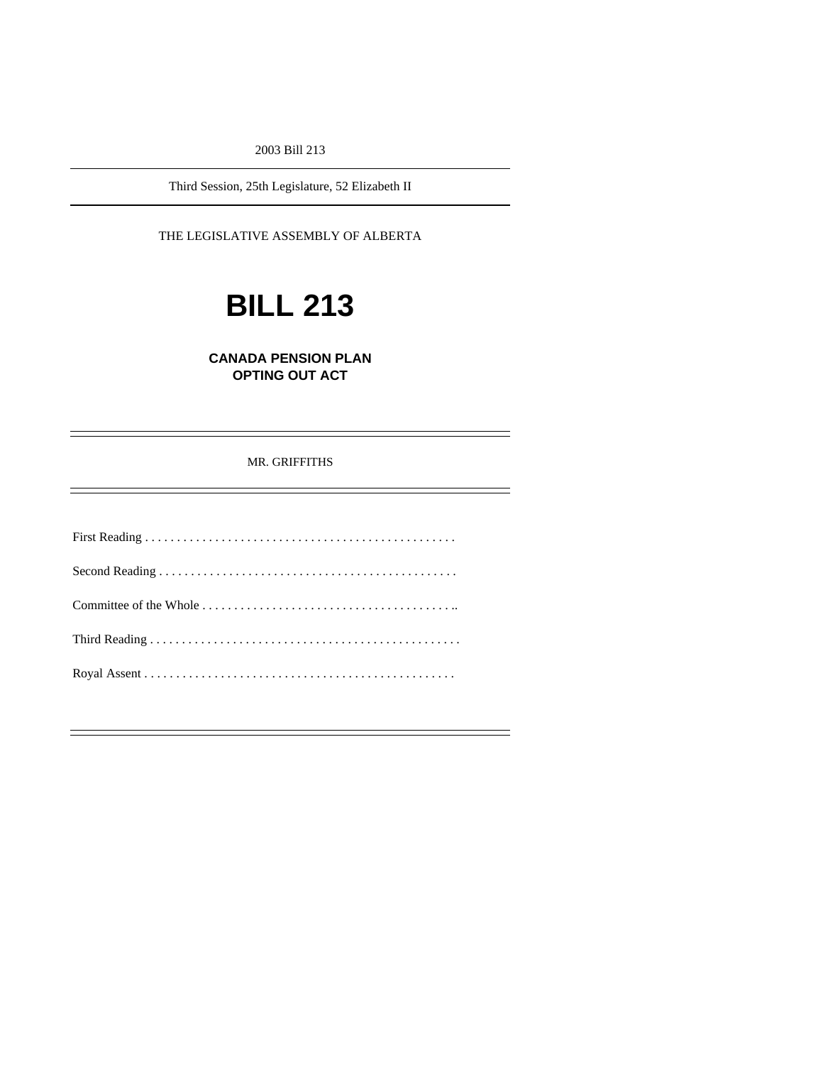2003 Bill 213

Third Session, 25th Legislature, 52 Elizabeth II

THE LEGISLATIVE ASSEMBLY OF ALBERTA

# **BILL 213**

**CANADA PENSION PLAN OPTING OUT ACT** 

## MR. GRIFFITHS

—<br>—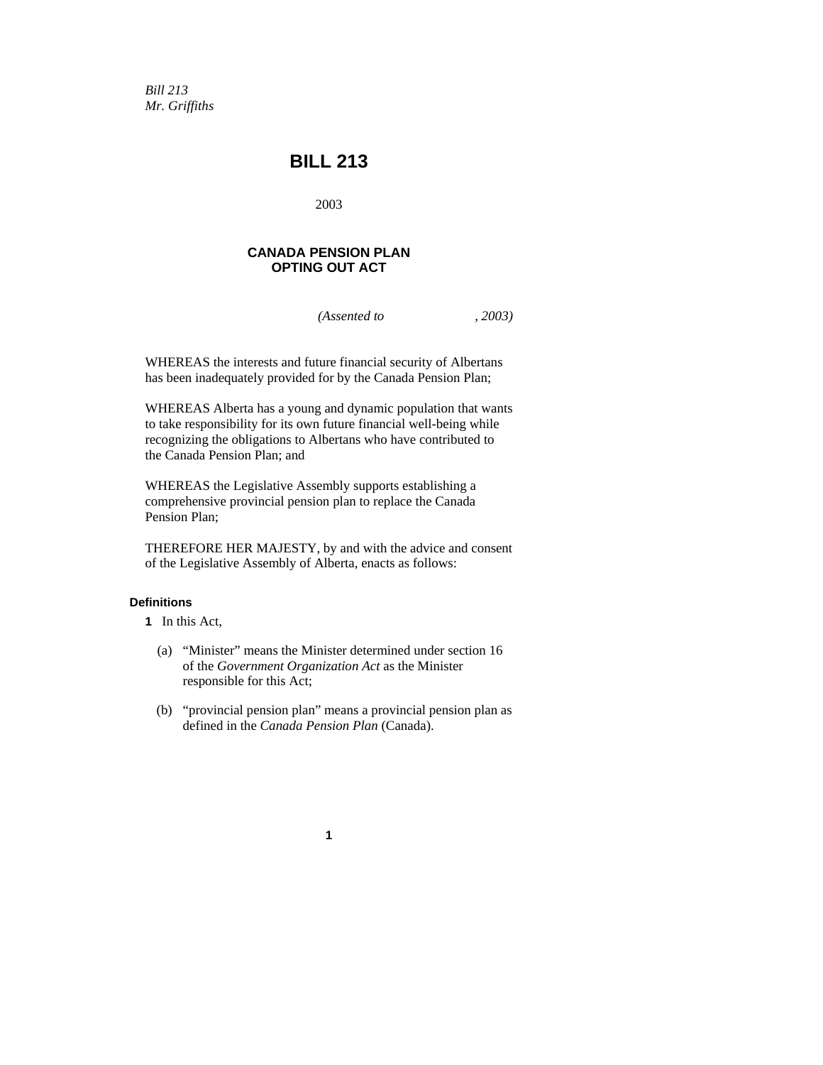*Bill 213 Mr. Griffiths* 

# **BILL 213**

2003

## **CANADA PENSION PLAN OPTING OUT ACT**

*(Assented to , 2003)* 

WHEREAS the interests and future financial security of Albertans has been inadequately provided for by the Canada Pension Plan;

WHEREAS Alberta has a young and dynamic population that wants to take responsibility for its own future financial well-being while recognizing the obligations to Albertans who have contributed to the Canada Pension Plan; and

WHEREAS the Legislative Assembly supports establishing a comprehensive provincial pension plan to replace the Canada Pension Plan;

THEREFORE HER MAJESTY, by and with the advice and consent of the Legislative Assembly of Alberta, enacts as follows:

## **Definitions**

- **1** In this Act,
	- (a) "Minister" means the Minister determined under section 16 of the *Government Organization Act* as the Minister responsible for this Act;
	- (b) "provincial pension plan" means a provincial pension plan as defined in the *Canada Pension Plan* (Canada).

**1**